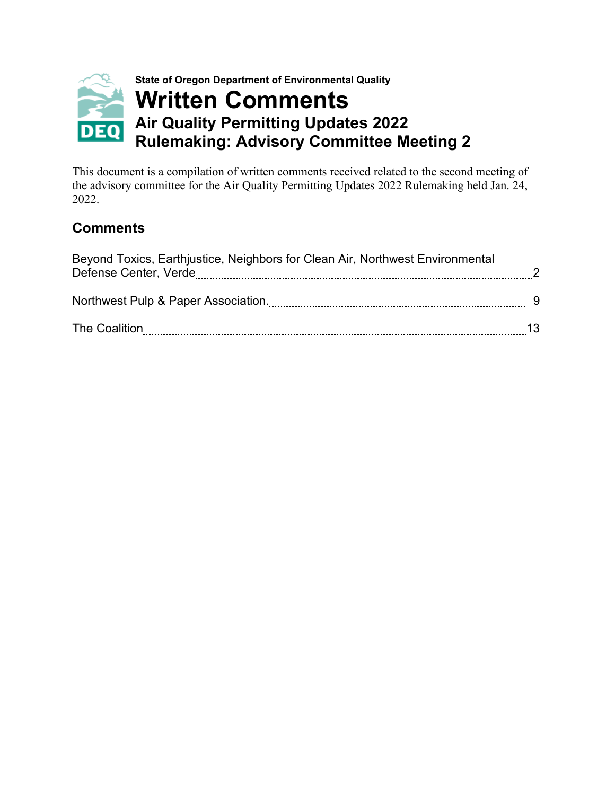

This document is a compilation of written comments received related to the second meeting of the advisory committee for the Air Quality Permitting Updates 2022 Rulemaking held Jan. 24, 2022.

# **Comments**

| Beyond Toxics, Earthjustice, Neighbors for Clean Air, Northwest Environmental<br>Defense Center, Verde |  |
|--------------------------------------------------------------------------------------------------------|--|
| Northwest Pulp & Paper Association.                                                                    |  |
| The Coalition                                                                                          |  |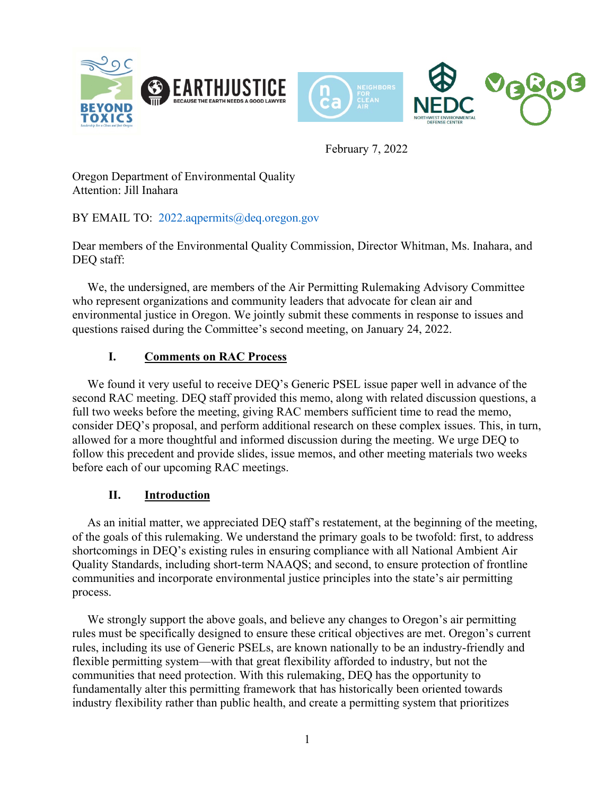<span id="page-1-0"></span>

February 7, 2022

Oregon Department of Environmental Quality Attention: Jill Inahara

# BY EMAIL TO: 2022.aqpermits@deq.oregon.gov

Dear members of the Environmental Quality Commission, Director Whitman, Ms. Inahara, and DEQ staff:

 We, the undersigned, are members of the Air Permitting Rulemaking Advisory Committee who represent organizations and community leaders that advocate for clean air and environmental justice in Oregon. We jointly submit these comments in response to issues and questions raised during the Committee's second meeting, on January 24, 2022.

# **I. Comments on RAC Process**

 We found it very useful to receive DEQ's Generic PSEL issue paper well in advance of the second RAC meeting. DEQ staff provided this memo, along with related discussion questions, a full two weeks before the meeting, giving RAC members sufficient time to read the memo, consider DEQ's proposal, and perform additional research on these complex issues. This, in turn, allowed for a more thoughtful and informed discussion during the meeting. We urge DEQ to follow this precedent and provide slides, issue memos, and other meeting materials two weeks before each of our upcoming RAC meetings.

#### **II. Introduction**

 As an initial matter, we appreciated DEQ staff's restatement, at the beginning of the meeting, of the goals of this rulemaking. We understand the primary goals to be twofold: first, to address shortcomings in DEQ's existing rules in ensuring compliance with all National Ambient Air Quality Standards, including short-term NAAQS; and second, to ensure protection of frontline communities and incorporate environmental justice principles into the state's air permitting process.

We strongly support the above goals, and believe any changes to Oregon's air permitting rules must be specifically designed to ensure these critical objectives are met. Oregon's current rules, including its use of Generic PSELs, are known nationally to be an industry-friendly and flexible permitting system—with that great flexibility afforded to industry, but not the communities that need protection. With this rulemaking, DEQ has the opportunity to fundamentally alter this permitting framework that has historically been oriented towards industry flexibility rather than public health, and create a permitting system that prioritizes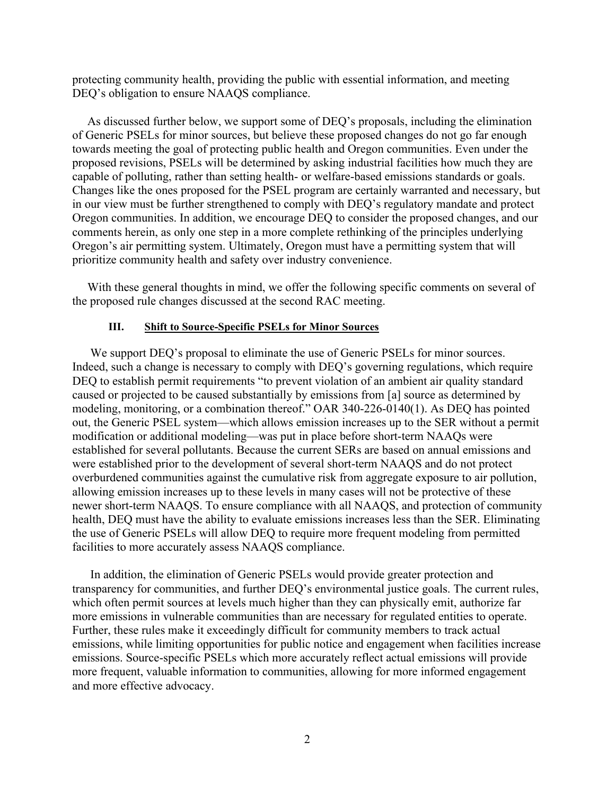protecting community health, providing the public with essential information, and meeting DEQ's obligation to ensure NAAQS compliance.

 As discussed further below, we support some of DEQ's proposals, including the elimination of Generic PSELs for minor sources, but believe these proposed changes do not go far enough towards meeting the goal of protecting public health and Oregon communities. Even under the proposed revisions, PSELs will be determined by asking industrial facilities how much they are capable of polluting, rather than setting health- or welfare-based emissions standards or goals. Changes like the ones proposed for the PSEL program are certainly warranted and necessary, but in our view must be further strengthened to comply with DEQ's regulatory mandate and protect Oregon communities. In addition, we encourage DEQ to consider the proposed changes, and our comments herein, as only one step in a more complete rethinking of the principles underlying Oregon's air permitting system. Ultimately, Oregon must have a permitting system that will prioritize community health and safety over industry convenience.

With these general thoughts in mind, we offer the following specific comments on several of the proposed rule changes discussed at the second RAC meeting.

#### **III. Shift to Source-Specific PSELs for Minor Sources**

We support DEQ's proposal to eliminate the use of Generic PSELs for minor sources. Indeed, such a change is necessary to comply with DEQ's governing regulations, which require DEQ to establish permit requirements "to prevent violation of an ambient air quality standard caused or projected to be caused substantially by emissions from [a] source as determined by modeling, monitoring, or a combination thereof." OAR 340-226-0140(1). As DEQ has pointed out, the Generic PSEL system—which allows emission increases up to the SER without a permit modification or additional modeling—was put in place before short-term NAAQs were established for several pollutants. Because the current SERs are based on annual emissions and were established prior to the development of several short-term NAAQS and do not protect overburdened communities against the cumulative risk from aggregate exposure to air pollution, allowing emission increases up to these levels in many cases will not be protective of these newer short-term NAAQS. To ensure compliance with all NAAQS, and protection of community health, DEQ must have the ability to evaluate emissions increases less than the SER. Eliminating the use of Generic PSELs will allow DEQ to require more frequent modeling from permitted facilities to more accurately assess NAAQS compliance.

In addition, the elimination of Generic PSELs would provide greater protection and transparency for communities, and further DEQ's environmental justice goals. The current rules, which often permit sources at levels much higher than they can physically emit, authorize far more emissions in vulnerable communities than are necessary for regulated entities to operate. Further, these rules make it exceedingly difficult for community members to track actual emissions, while limiting opportunities for public notice and engagement when facilities increase emissions. Source-specific PSELs which more accurately reflect actual emissions will provide more frequent, valuable information to communities, allowing for more informed engagement and more effective advocacy.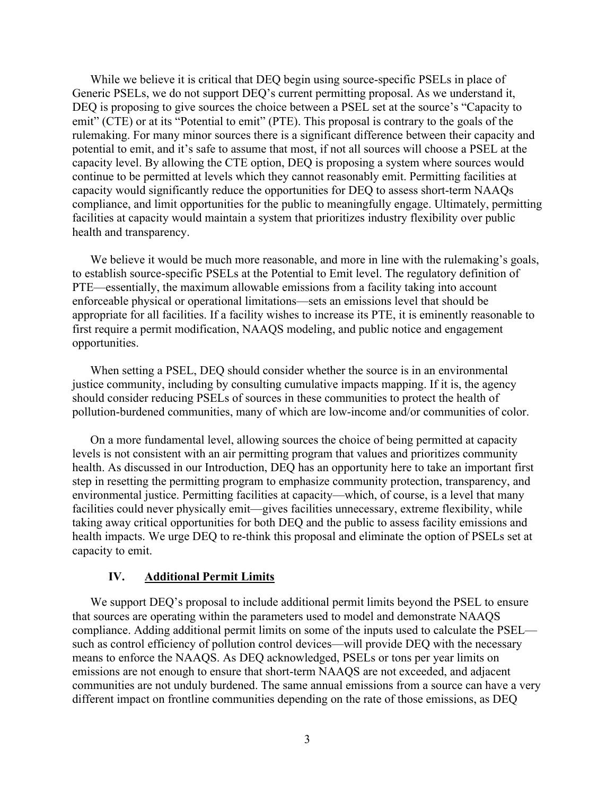While we believe it is critical that DEQ begin using source-specific PSELs in place of Generic PSELs, we do not support DEQ's current permitting proposal. As we understand it, DEQ is proposing to give sources the choice between a PSEL set at the source's "Capacity to emit" (CTE) or at its "Potential to emit" (PTE). This proposal is contrary to the goals of the rulemaking. For many minor sources there is a significant difference between their capacity and potential to emit, and it's safe to assume that most, if not all sources will choose a PSEL at the capacity level. By allowing the CTE option, DEQ is proposing a system where sources would continue to be permitted at levels which they cannot reasonably emit. Permitting facilities at capacity would significantly reduce the opportunities for DEQ to assess short-term NAAQs compliance, and limit opportunities for the public to meaningfully engage. Ultimately, permitting facilities at capacity would maintain a system that prioritizes industry flexibility over public health and transparency.

We believe it would be much more reasonable, and more in line with the rulemaking's goals, to establish source-specific PSELs at the Potential to Emit level. The regulatory definition of PTE—essentially, the maximum allowable emissions from a facility taking into account enforceable physical or operational limitations—sets an emissions level that should be appropriate for all facilities. If a facility wishes to increase its PTE, it is eminently reasonable to first require a permit modification, NAAQS modeling, and public notice and engagement opportunities.

When setting a PSEL, DEQ should consider whether the source is in an environmental justice community, including by consulting cumulative impacts mapping. If it is, the agency should consider reducing PSELs of sources in these communities to protect the health of pollution-burdened communities, many of which are low-income and/or communities of color.

On a more fundamental level, allowing sources the choice of being permitted at capacity levels is not consistent with an air permitting program that values and prioritizes community health. As discussed in our Introduction, DEQ has an opportunity here to take an important first step in resetting the permitting program to emphasize community protection, transparency, and environmental justice. Permitting facilities at capacity—which, of course, is a level that many facilities could never physically emit—gives facilities unnecessary, extreme flexibility, while taking away critical opportunities for both DEQ and the public to assess facility emissions and health impacts. We urge DEQ to re-think this proposal and eliminate the option of PSELs set at capacity to emit.

#### **IV. Additional Permit Limits**

We support DEO's proposal to include additional permit limits beyond the PSEL to ensure that sources are operating within the parameters used to model and demonstrate NAAQS compliance. Adding additional permit limits on some of the inputs used to calculate the PSEL such as control efficiency of pollution control devices—will provide DEQ with the necessary means to enforce the NAAQS. As DEQ acknowledged, PSELs or tons per year limits on emissions are not enough to ensure that short-term NAAQS are not exceeded, and adjacent communities are not unduly burdened. The same annual emissions from a source can have a very different impact on frontline communities depending on the rate of those emissions, as DEQ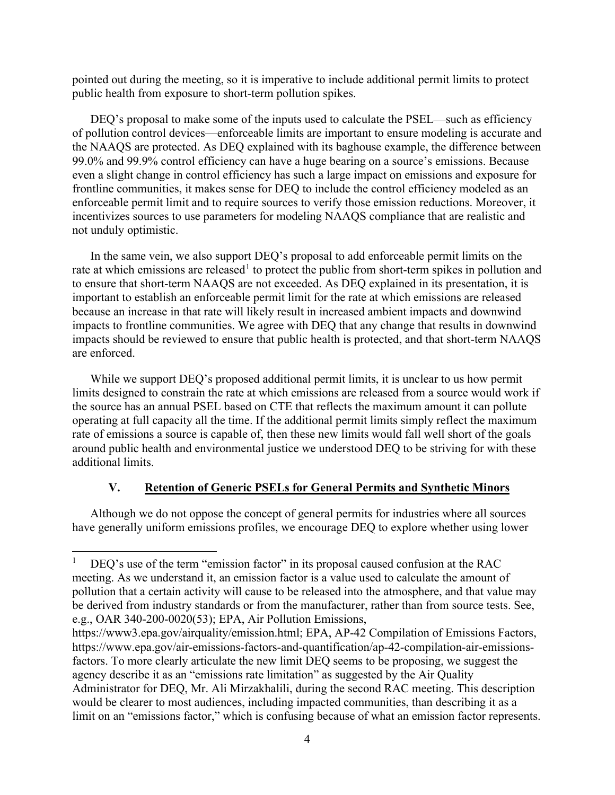pointed out during the meeting, so it is imperative to include additional permit limits to protect public health from exposure to short-term pollution spikes.

DEQ's proposal to make some of the inputs used to calculate the PSEL—such as efficiency of pollution control devices—enforceable limits are important to ensure modeling is accurate and the NAAQS are protected. As DEQ explained with its baghouse example, the difference between 99.0% and 99.9% control efficiency can have a huge bearing on a source's emissions. Because even a slight change in control efficiency has such a large impact on emissions and exposure for frontline communities, it makes sense for DEQ to include the control efficiency modeled as an enforceable permit limit and to require sources to verify those emission reductions. Moreover, it incentivizes sources to use parameters for modeling NAAQS compliance that are realistic and not unduly optimistic.

In the same vein, we also support DEQ's proposal to add enforceable permit limits on the rate at which emissions are released<sup>[1](#page-4-0)</sup> to protect the public from short-term spikes in pollution and to ensure that short-term NAAQS are not exceeded. As DEQ explained in its presentation, it is important to establish an enforceable permit limit for the rate at which emissions are released because an increase in that rate will likely result in increased ambient impacts and downwind impacts to frontline communities. We agree with DEQ that any change that results in downwind impacts should be reviewed to ensure that public health is protected, and that short-term NAAQS are enforced.

While we support DEQ's proposed additional permit limits, it is unclear to us how permit limits designed to constrain the rate at which emissions are released from a source would work if the source has an annual PSEL based on CTE that reflects the maximum amount it can pollute operating at full capacity all the time. If the additional permit limits simply reflect the maximum rate of emissions a source is capable of, then these new limits would fall well short of the goals around public health and environmental justice we understood DEQ to be striving for with these additional limits.

### **V. Retention of Generic PSELs for General Permits and Synthetic Minors**

Although we do not oppose the concept of general permits for industries where all sources have generally uniform emissions profiles, we encourage DEQ to explore whether using lower

<span id="page-4-0"></span>DEQ's use of the term "emission factor" in its proposal caused confusion at the RAC meeting. As we understand it, an emission factor is a value used to calculate the amount of pollution that a certain activity will cause to be released into the atmosphere, and that value may be derived from industry standards or from the manufacturer, rather than from source tests. See, e.g., OAR 340-200-0020(53); EPA, Air Pollution Emissions,

https://www3.epa.gov/airquality/emission.html; EPA, AP-42 Compilation of Emissions Factors, https://www.epa.gov/air-emissions-factors-and-quantification/ap-42-compilation-air-emissionsfactors. To more clearly articulate the new limit DEQ seems to be proposing, we suggest the agency describe it as an "emissions rate limitation" as suggested by the Air Quality Administrator for DEQ, Mr. Ali Mirzakhalili, during the second RAC meeting. This description would be clearer to most audiences, including impacted communities, than describing it as a limit on an "emissions factor," which is confusing because of what an emission factor represents.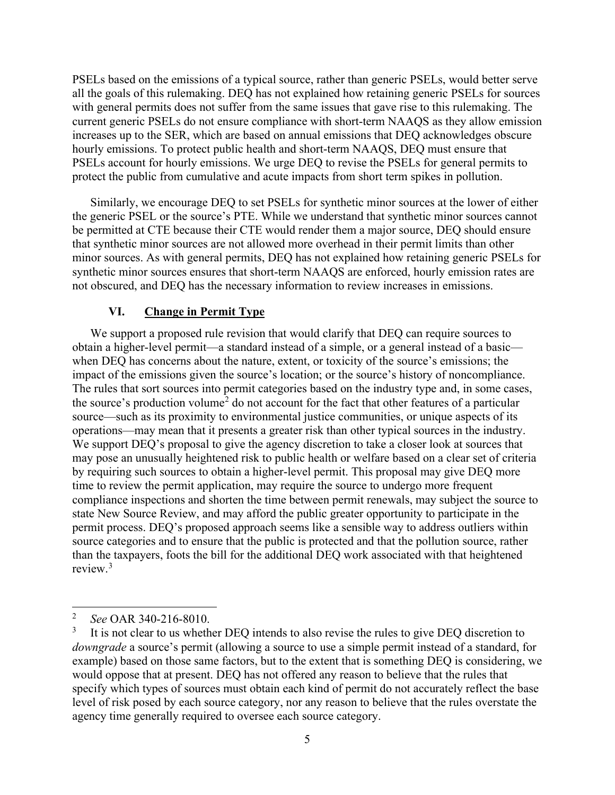PSELs based on the emissions of a typical source, rather than generic PSELs, would better serve all the goals of this rulemaking. DEQ has not explained how retaining generic PSELs for sources with general permits does not suffer from the same issues that gave rise to this rulemaking. The current generic PSELs do not ensure compliance with short-term NAAQS as they allow emission increases up to the SER, which are based on annual emissions that DEQ acknowledges obscure hourly emissions. To protect public health and short-term NAAQS, DEQ must ensure that PSELs account for hourly emissions. We urge DEQ to revise the PSELs for general permits to protect the public from cumulative and acute impacts from short term spikes in pollution.

Similarly, we encourage DEQ to set PSELs for synthetic minor sources at the lower of either the generic PSEL or the source's PTE. While we understand that synthetic minor sources cannot be permitted at CTE because their CTE would render them a major source, DEQ should ensure that synthetic minor sources are not allowed more overhead in their permit limits than other minor sources. As with general permits, DEQ has not explained how retaining generic PSELs for synthetic minor sources ensures that short-term NAAQS are enforced, hourly emission rates are not obscured, and DEQ has the necessary information to review increases in emissions.

#### **VI. Change in Permit Type**

We support a proposed rule revision that would clarify that DEQ can require sources to obtain a higher-level permit—a standard instead of a simple, or a general instead of a basic when DEQ has concerns about the nature, extent, or toxicity of the source's emissions; the impact of the emissions given the source's location; or the source's history of noncompliance. The rules that sort sources into permit categories based on the industry type and, in some cases, the source's production volume<sup>[2](#page-5-0)</sup> do not account for the fact that other features of a particular source—such as its proximity to environmental justice communities, or unique aspects of its operations—may mean that it presents a greater risk than other typical sources in the industry. We support DEQ's proposal to give the agency discretion to take a closer look at sources that may pose an unusually heightened risk to public health or welfare based on a clear set of criteria by requiring such sources to obtain a higher-level permit. This proposal may give DEQ more time to review the permit application, may require the source to undergo more frequent compliance inspections and shorten the time between permit renewals, may subject the source to state New Source Review, and may afford the public greater opportunity to participate in the permit process. DEQ's proposed approach seems like a sensible way to address outliers within source categories and to ensure that the public is protected and that the pollution source, rather than the taxpayers, foots the bill for the additional DEQ work associated with that heightened review.[3](#page-5-1)

<span id="page-5-0"></span><sup>&</sup>lt;sup>2</sup> *See* OAR 340-216-8010.

<span id="page-5-1"></span>It is not clear to us whether DEQ intends to also revise the rules to give DEQ discretion to *downgrade* a source's permit (allowing a source to use a simple permit instead of a standard, for example) based on those same factors, but to the extent that is something DEQ is considering, we would oppose that at present. DEQ has not offered any reason to believe that the rules that specify which types of sources must obtain each kind of permit do not accurately reflect the base level of risk posed by each source category, nor any reason to believe that the rules overstate the agency time generally required to oversee each source category.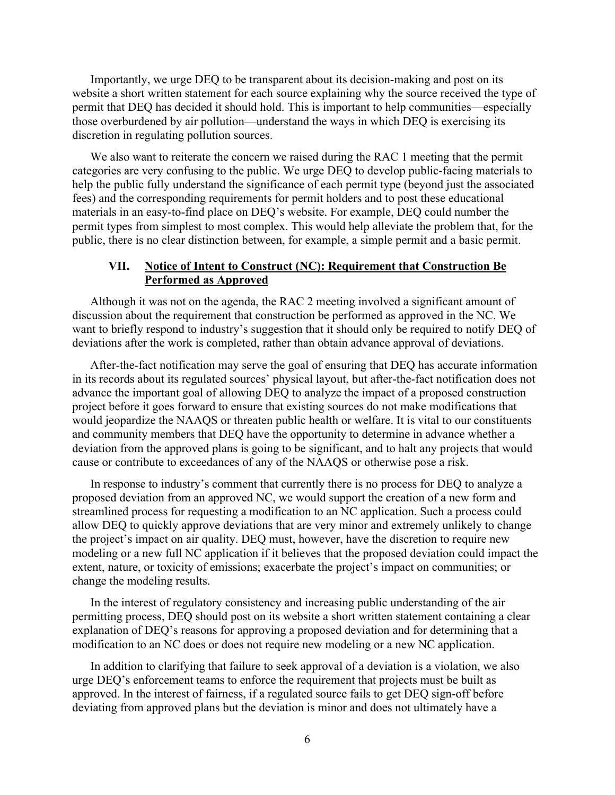Importantly, we urge DEQ to be transparent about its decision-making and post on its website a short written statement for each source explaining why the source received the type of permit that DEQ has decided it should hold. This is important to help communities—especially those overburdened by air pollution—understand the ways in which DEQ is exercising its discretion in regulating pollution sources.

We also want to reiterate the concern we raised during the RAC 1 meeting that the permit categories are very confusing to the public. We urge DEQ to develop public-facing materials to help the public fully understand the significance of each permit type (beyond just the associated fees) and the corresponding requirements for permit holders and to post these educational materials in an easy-to-find place on DEQ's website. For example, DEQ could number the permit types from simplest to most complex. This would help alleviate the problem that, for the public, there is no clear distinction between, for example, a simple permit and a basic permit.

#### **VII. Notice of Intent to Construct (NC): Requirement that Construction Be Performed as Approved**

Although it was not on the agenda, the RAC 2 meeting involved a significant amount of discussion about the requirement that construction be performed as approved in the NC. We want to briefly respond to industry's suggestion that it should only be required to notify DEQ of deviations after the work is completed, rather than obtain advance approval of deviations.

After-the-fact notification may serve the goal of ensuring that DEQ has accurate information in its records about its regulated sources' physical layout, but after-the-fact notification does not advance the important goal of allowing DEQ to analyze the impact of a proposed construction project before it goes forward to ensure that existing sources do not make modifications that would jeopardize the NAAQS or threaten public health or welfare. It is vital to our constituents and community members that DEQ have the opportunity to determine in advance whether a deviation from the approved plans is going to be significant, and to halt any projects that would cause or contribute to exceedances of any of the NAAQS or otherwise pose a risk.

In response to industry's comment that currently there is no process for DEQ to analyze a proposed deviation from an approved NC, we would support the creation of a new form and streamlined process for requesting a modification to an NC application. Such a process could allow DEQ to quickly approve deviations that are very minor and extremely unlikely to change the project's impact on air quality. DEQ must, however, have the discretion to require new modeling or a new full NC application if it believes that the proposed deviation could impact the extent, nature, or toxicity of emissions; exacerbate the project's impact on communities; or change the modeling results.

In the interest of regulatory consistency and increasing public understanding of the air permitting process, DEQ should post on its website a short written statement containing a clear explanation of DEQ's reasons for approving a proposed deviation and for determining that a modification to an NC does or does not require new modeling or a new NC application.

In addition to clarifying that failure to seek approval of a deviation is a violation, we also urge DEQ's enforcement teams to enforce the requirement that projects must be built as approved. In the interest of fairness, if a regulated source fails to get DEQ sign-off before deviating from approved plans but the deviation is minor and does not ultimately have a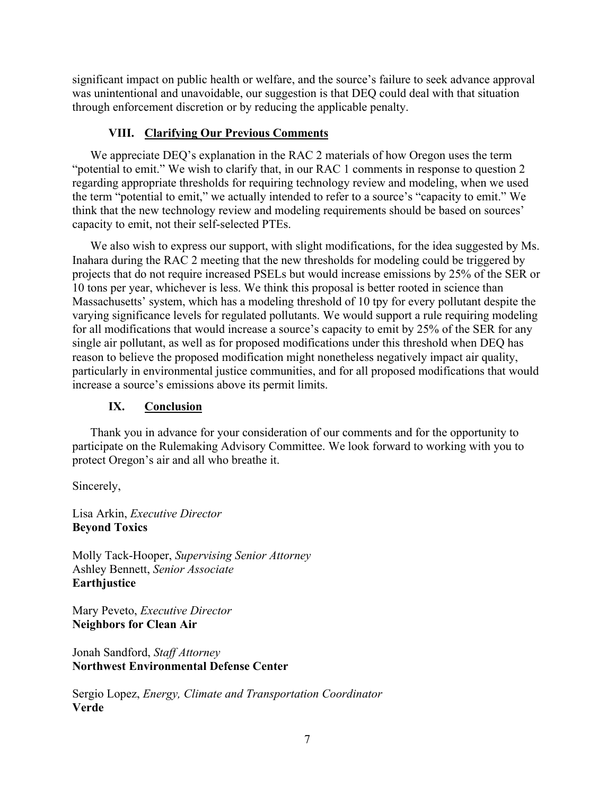significant impact on public health or welfare, and the source's failure to seek advance approval was unintentional and unavoidable, our suggestion is that DEQ could deal with that situation through enforcement discretion or by reducing the applicable penalty.

### **VIII. Clarifying Our Previous Comments**

We appreciate DEQ's explanation in the RAC 2 materials of how Oregon uses the term "potential to emit." We wish to clarify that, in our RAC 1 comments in response to question 2 regarding appropriate thresholds for requiring technology review and modeling, when we used the term "potential to emit," we actually intended to refer to a source's "capacity to emit." We think that the new technology review and modeling requirements should be based on sources' capacity to emit, not their self-selected PTEs.

We also wish to express our support, with slight modifications, for the idea suggested by Ms. Inahara during the RAC 2 meeting that the new thresholds for modeling could be triggered by projects that do not require increased PSELs but would increase emissions by 25% of the SER or 10 tons per year, whichever is less. We think this proposal is better rooted in science than Massachusetts' system, which has a modeling threshold of 10 tpy for every pollutant despite the varying significance levels for regulated pollutants. We would support a rule requiring modeling for all modifications that would increase a source's capacity to emit by 25% of the SER for any single air pollutant, as well as for proposed modifications under this threshold when DEQ has reason to believe the proposed modification might nonetheless negatively impact air quality, particularly in environmental justice communities, and for all proposed modifications that would increase a source's emissions above its permit limits.

# **IX. Conclusion**

 Thank you in advance for your consideration of our comments and for the opportunity to participate on the Rulemaking Advisory Committee. We look forward to working with you to protect Oregon's air and all who breathe it.

Sincerely,

Lisa Arkin, *Executive Director* **Beyond Toxics**

Molly Tack-Hooper, *Supervising Senior Attorney* Ashley Bennett, *Senior Associate* **Earthjustice**

Mary Peveto, *Executive Director* **Neighbors for Clean Air**

Jonah Sandford, *Staff Attorney* **Northwest Environmental Defense Center**

Sergio Lopez, *Energy, Climate and Transportation Coordinator* **Verde**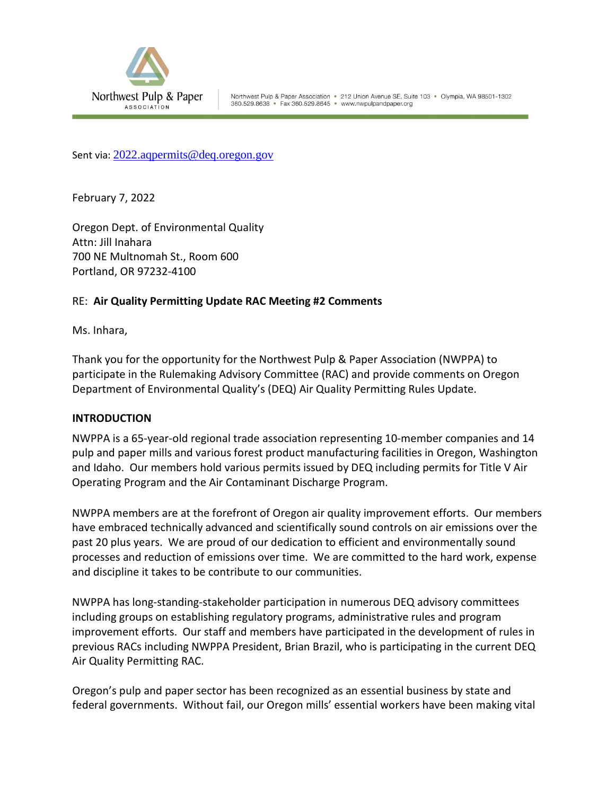<span id="page-8-0"></span>

Sent via: [2022.aqpermits@deq.oregon.gov](mailto:2022.aqpermits@deq.oregon.gov)

February 7, 2022

Oregon Dept. of Environmental Quality Attn: Jill Inahara 700 NE Multnomah St., Room 600 Portland, OR 97232-4100

### RE: **Air Quality Permitting Update RAC Meeting #2 Comments**

Ms. Inhara,

Thank you for the opportunity for the Northwest Pulp & Paper Association (NWPPA) to participate in the Rulemaking Advisory Committee (RAC) and provide comments on Oregon Department of Environmental Quality's (DEQ) Air Quality Permitting Rules Update.

#### **INTRODUCTION**

NWPPA is a 65-year-old regional trade association representing 10-member companies and 14 pulp and paper mills and various forest product manufacturing facilities in Oregon, Washington and Idaho. Our members hold various permits issued by DEQ including permits for Title V Air Operating Program and the Air Contaminant Discharge Program.

NWPPA members are at the forefront of Oregon air quality improvement efforts. Our members have embraced technically advanced and scientifically sound controls on air emissions over the past 20 plus years. We are proud of our dedication to efficient and environmentally sound processes and reduction of emissions over time. We are committed to the hard work, expense and discipline it takes to be contribute to our communities.

NWPPA has long-standing-stakeholder participation in numerous DEQ advisory committees including groups on establishing regulatory programs, administrative rules and program improvement efforts. Our staff and members have participated in the development of rules in previous RACs including NWPPA President, Brian Brazil, who is participating in the current DEQ Air Quality Permitting RAC.

Oregon's pulp and paper sector has been recognized as an essential business by state and federal governments. Without fail, our Oregon mills' essential workers have been making vital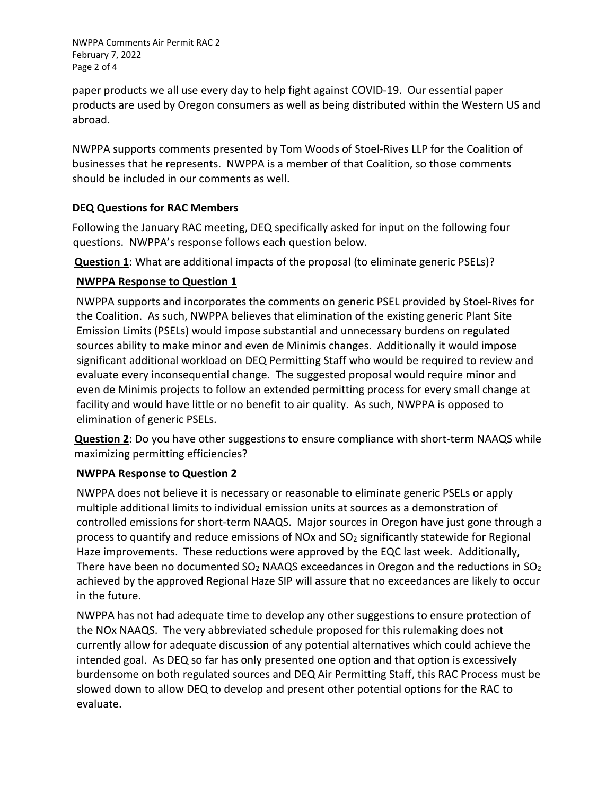NWPPA Comments Air Permit RAC 2 February 7, 2022 Page 2 of 4

paper products we all use every day to help fight against COVID-19. Our essential paper products are used by Oregon consumers as well as being distributed within the Western US and abroad.

NWPPA supports comments presented by Tom Woods of Stoel-Rives LLP for the Coalition of businesses that he represents. NWPPA is a member of that Coalition, so those comments should be included in our comments as well.

# **DEQ Questions for RAC Members**

Following the January RAC meeting, DEQ specifically asked for input on the following four questions. NWPPA's response follows each question below.

**Question 1**: What are additional impacts of the proposal (to eliminate generic PSELs)?

# **NWPPA Response to Question 1**

NWPPA supports and incorporates the comments on generic PSEL provided by Stoel-Rives for the Coalition. As such, NWPPA believes that elimination of the existing generic Plant Site Emission Limits (PSELs) would impose substantial and unnecessary burdens on regulated sources ability to make minor and even de Minimis changes. Additionally it would impose significant additional workload on DEQ Permitting Staff who would be required to review and evaluate every inconsequential change. The suggested proposal would require minor and even de Minimis projects to follow an extended permitting process for every small change at facility and would have little or no benefit to air quality. As such, NWPPA is opposed to elimination of generic PSELs.

**Question 2**: Do you have other suggestions to ensure compliance with short-term NAAQS while maximizing permitting efficiencies?

# **NWPPA Response to Question 2**

NWPPA does not believe it is necessary or reasonable to eliminate generic PSELs or apply multiple additional limits to individual emission units at sources as a demonstration of controlled emissions for short-term NAAQS. Major sources in Oregon have just gone through a process to quantify and reduce emissions of NOx and SO2 significantly statewide for Regional Haze improvements. These reductions were approved by the EQC last week. Additionally, There have been no documented  $SO<sub>2</sub>$  NAAQS exceedances in Oregon and the reductions in  $SO<sub>2</sub>$ achieved by the approved Regional Haze SIP will assure that no exceedances are likely to occur in the future.

NWPPA has not had adequate time to develop any other suggestions to ensure protection of the NOx NAAQS. The very abbreviated schedule proposed for this rulemaking does not currently allow for adequate discussion of any potential alternatives which could achieve the intended goal. As DEQ so far has only presented one option and that option is excessively burdensome on both regulated sources and DEQ Air Permitting Staff, this RAC Process must be slowed down to allow DEQ to develop and present other potential options for the RAC to evaluate.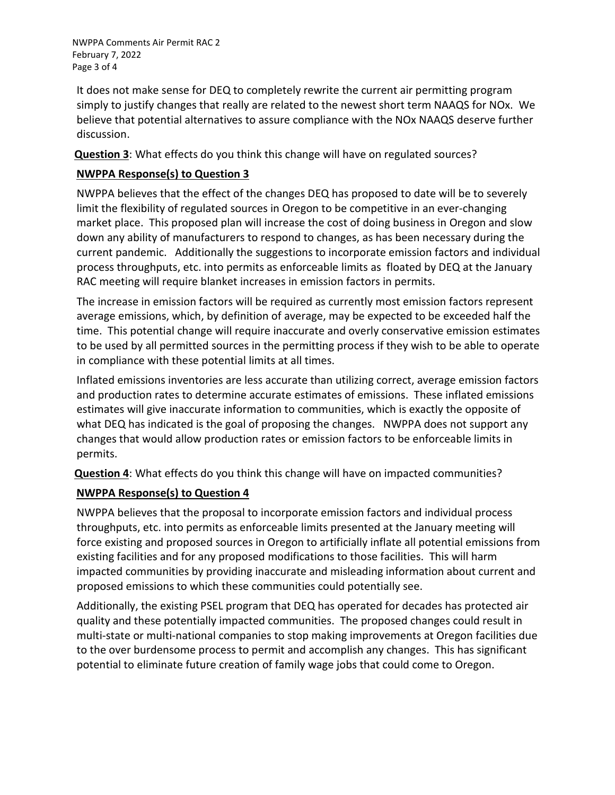NWPPA Comments Air Permit RAC 2 February 7, 2022 Page 3 of 4

It does not make sense for DEQ to completely rewrite the current air permitting program simply to justify changes that really are related to the newest short term NAAQS for NOx. We believe that potential alternatives to assure compliance with the NOx NAAQS deserve further discussion.

**Question 3**: What effects do you think this change will have on regulated sources?

# **NWPPA Response(s) to Question 3**

NWPPA believes that the effect of the changes DEQ has proposed to date will be to severely limit the flexibility of regulated sources in Oregon to be competitive in an ever-changing market place. This proposed plan will increase the cost of doing business in Oregon and slow down any ability of manufacturers to respond to changes, as has been necessary during the current pandemic. Additionally the suggestions to incorporate emission factors and individual process throughputs, etc. into permits as enforceable limits as floated by DEQ at the January RAC meeting will require blanket increases in emission factors in permits.

The increase in emission factors will be required as currently most emission factors represent average emissions, which, by definition of average, may be expected to be exceeded half the time. This potential change will require inaccurate and overly conservative emission estimates to be used by all permitted sources in the permitting process if they wish to be able to operate in compliance with these potential limits at all times.

Inflated emissions inventories are less accurate than utilizing correct, average emission factors and production rates to determine accurate estimates of emissions. These inflated emissions estimates will give inaccurate information to communities, which is exactly the opposite of what DEQ has indicated is the goal of proposing the changes. NWPPA does not support any changes that would allow production rates or emission factors to be enforceable limits in permits.

**Question 4**: What effects do you think this change will have on impacted communities?

# **NWPPA Response(s) to Question 4**

NWPPA believes that the proposal to incorporate emission factors and individual process throughputs, etc. into permits as enforceable limits presented at the January meeting will force existing and proposed sources in Oregon to artificially inflate all potential emissions from existing facilities and for any proposed modifications to those facilities. This will harm impacted communities by providing inaccurate and misleading information about current and proposed emissions to which these communities could potentially see.

Additionally, the existing PSEL program that DEQ has operated for decades has protected air quality and these potentially impacted communities. The proposed changes could result in multi-state or multi-national companies to stop making improvements at Oregon facilities due to the over burdensome process to permit and accomplish any changes. This has significant potential to eliminate future creation of family wage jobs that could come to Oregon.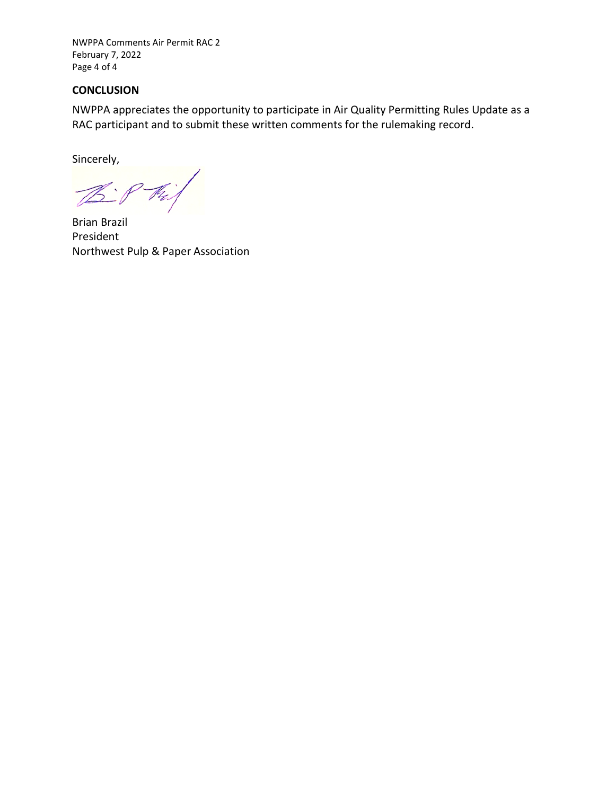NWPPA Comments Air Permit RAC 2 February 7, 2022 Page 4 of 4

#### **CONCLUSION**

NWPPA appreciates the opportunity to participate in Air Quality Permitting Rules Update as a RAC participant and to submit these written comments for the rulemaking record.

Sincerely,

 $\mathbb{Z}$ : Phi

Brian Brazil President Northwest Pulp & Paper Association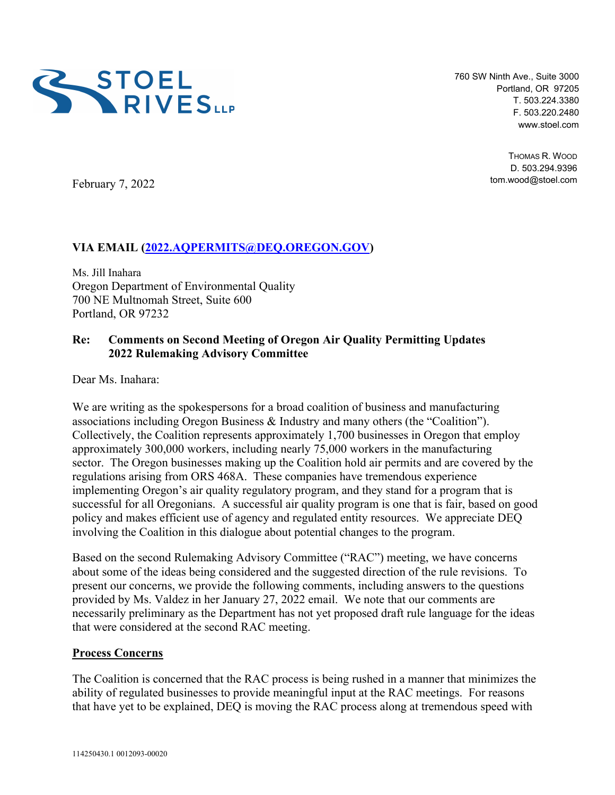<span id="page-12-0"></span>

760 SW Ninth Ave., Suite 3000 Portland, OR 97205 T. 503.224.3380 F. 503.220.2480 www.stoel.com

> THOMAS R. WOOD D. 503.294.9396 tom.wood@stoel.com

February 7, 2022

# **VIA EMAIL (2022.AQPERMITS@DEQ.OREGON.GOV)**

Ms. Jill Inahara Oregon Department of Environmental Quality 700 NE Multnomah Street, Suite 600 Portland, OR 97232

### **Re: Comments on Second Meeting of Oregon Air Quality Permitting Updates 2022 Rulemaking Advisory Committee**

Dear Ms. Inahara:

We are writing as the spokespersons for a broad coalition of business and manufacturing associations including Oregon Business & Industry and many others (the "Coalition"). Collectively, the Coalition represents approximately 1,700 businesses in Oregon that employ approximately 300,000 workers, including nearly 75,000 workers in the manufacturing sector. The Oregon businesses making up the Coalition hold air permits and are covered by the regulations arising from ORS 468A. These companies have tremendous experience implementing Oregon's air quality regulatory program, and they stand for a program that is successful for all Oregonians. A successful air quality program is one that is fair, based on good policy and makes efficient use of agency and regulated entity resources. We appreciate DEQ involving the Coalition in this dialogue about potential changes to the program.

Based on the second Rulemaking Advisory Committee ("RAC") meeting, we have concerns about some of the ideas being considered and the suggested direction of the rule revisions. To present our concerns, we provide the following comments, including answers to the questions provided by Ms. Valdez in her January 27, 2022 email. We note that our comments are necessarily preliminary as the Department has not yet proposed draft rule language for the ideas that were considered at the second RAC meeting.

#### **Process Concerns**

The Coalition is concerned that the RAC process is being rushed in a manner that minimizes the ability of regulated businesses to provide meaningful input at the RAC meetings. For reasons that have yet to be explained, DEQ is moving the RAC process along at tremendous speed with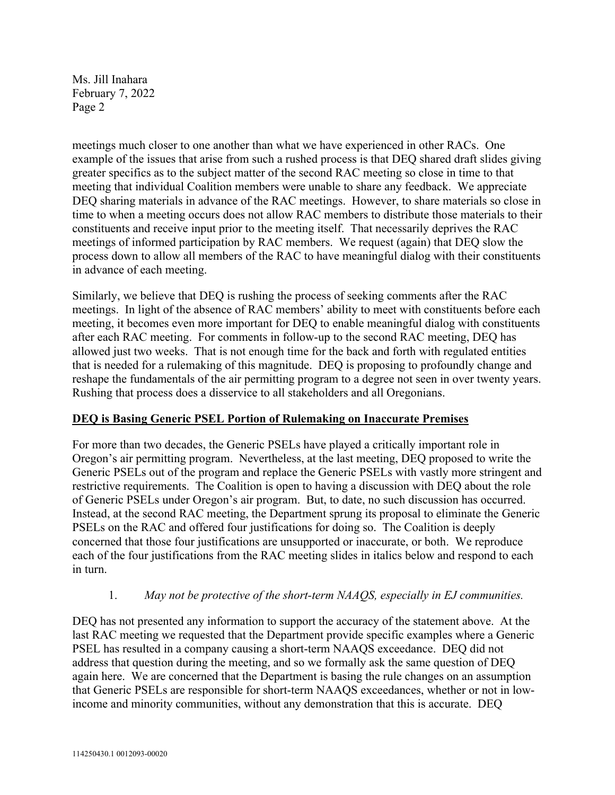meetings much closer to one another than what we have experienced in other RACs. One example of the issues that arise from such a rushed process is that DEQ shared draft slides giving greater specifics as to the subject matter of the second RAC meeting so close in time to that meeting that individual Coalition members were unable to share any feedback. We appreciate DEQ sharing materials in advance of the RAC meetings. However, to share materials so close in time to when a meeting occurs does not allow RAC members to distribute those materials to their constituents and receive input prior to the meeting itself. That necessarily deprives the RAC meetings of informed participation by RAC members. We request (again) that DEQ slow the process down to allow all members of the RAC to have meaningful dialog with their constituents in advance of each meeting.

Similarly, we believe that DEQ is rushing the process of seeking comments after the RAC meetings. In light of the absence of RAC members' ability to meet with constituents before each meeting, it becomes even more important for DEQ to enable meaningful dialog with constituents after each RAC meeting. For comments in follow-up to the second RAC meeting, DEQ has allowed just two weeks. That is not enough time for the back and forth with regulated entities that is needed for a rulemaking of this magnitude. DEQ is proposing to profoundly change and reshape the fundamentals of the air permitting program to a degree not seen in over twenty years. Rushing that process does a disservice to all stakeholders and all Oregonians.

# **DEQ is Basing Generic PSEL Portion of Rulemaking on Inaccurate Premises**

For more than two decades, the Generic PSELs have played a critically important role in Oregon's air permitting program. Nevertheless, at the last meeting, DEQ proposed to write the Generic PSELs out of the program and replace the Generic PSELs with vastly more stringent and restrictive requirements. The Coalition is open to having a discussion with DEQ about the role of Generic PSELs under Oregon's air program. But, to date, no such discussion has occurred. Instead, at the second RAC meeting, the Department sprung its proposal to eliminate the Generic PSELs on the RAC and offered four justifications for doing so. The Coalition is deeply concerned that those four justifications are unsupported or inaccurate, or both. We reproduce each of the four justifications from the RAC meeting slides in italics below and respond to each in turn.

# 1. *May not be protective of the short-term NAAQS, especially in EJ communities.*

DEQ has not presented any information to support the accuracy of the statement above. At the last RAC meeting we requested that the Department provide specific examples where a Generic PSEL has resulted in a company causing a short-term NAAQS exceedance. DEQ did not address that question during the meeting, and so we formally ask the same question of DEQ again here. We are concerned that the Department is basing the rule changes on an assumption that Generic PSELs are responsible for short-term NAAQS exceedances, whether or not in lowincome and minority communities, without any demonstration that this is accurate. DEQ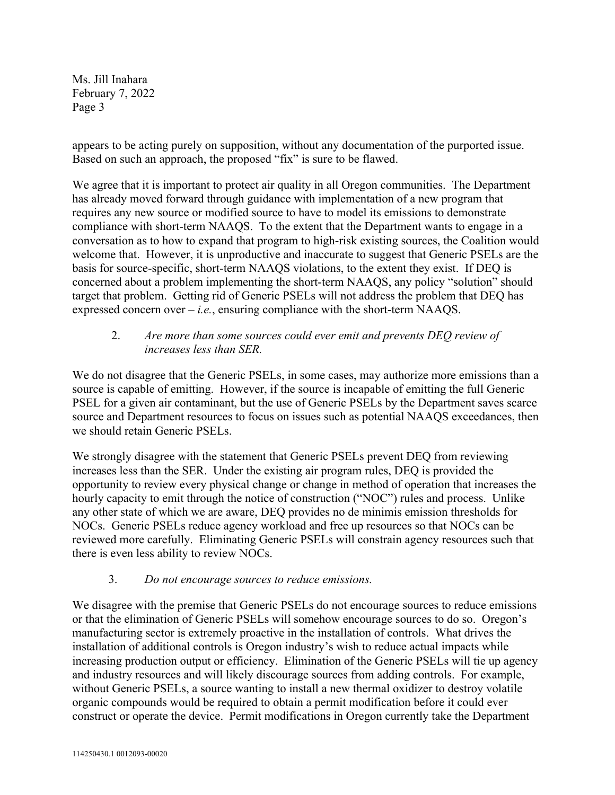appears to be acting purely on supposition, without any documentation of the purported issue. Based on such an approach, the proposed "fix" is sure to be flawed.

We agree that it is important to protect air quality in all Oregon communities. The Department has already moved forward through guidance with implementation of a new program that requires any new source or modified source to have to model its emissions to demonstrate compliance with short-term NAAQS. To the extent that the Department wants to engage in a conversation as to how to expand that program to high-risk existing sources, the Coalition would welcome that. However, it is unproductive and inaccurate to suggest that Generic PSELs are the basis for source-specific, short-term NAAQS violations, to the extent they exist. If DEQ is concerned about a problem implementing the short-term NAAQS, any policy "solution" should target that problem. Getting rid of Generic PSELs will not address the problem that DEQ has expressed concern over  $-i.e.,$  ensuring compliance with the short-term NAAQS.

### 2. *Are more than some sources could ever emit and prevents DEQ review of increases less than SER.*

We do not disagree that the Generic PSELs, in some cases, may authorize more emissions than a source is capable of emitting. However, if the source is incapable of emitting the full Generic PSEL for a given air contaminant, but the use of Generic PSELs by the Department saves scarce source and Department resources to focus on issues such as potential NAAQS exceedances, then we should retain Generic PSELs.

We strongly disagree with the statement that Generic PSELs prevent DEQ from reviewing increases less than the SER. Under the existing air program rules, DEQ is provided the opportunity to review every physical change or change in method of operation that increases the hourly capacity to emit through the notice of construction ("NOC") rules and process. Unlike any other state of which we are aware, DEQ provides no de minimis emission thresholds for NOCs. Generic PSELs reduce agency workload and free up resources so that NOCs can be reviewed more carefully. Eliminating Generic PSELs will constrain agency resources such that there is even less ability to review NOCs.

3. *Do not encourage sources to reduce emissions.* 

We disagree with the premise that Generic PSELs do not encourage sources to reduce emissions or that the elimination of Generic PSELs will somehow encourage sources to do so. Oregon's manufacturing sector is extremely proactive in the installation of controls. What drives the installation of additional controls is Oregon industry's wish to reduce actual impacts while increasing production output or efficiency. Elimination of the Generic PSELs will tie up agency and industry resources and will likely discourage sources from adding controls. For example, without Generic PSELs, a source wanting to install a new thermal oxidizer to destroy volatile organic compounds would be required to obtain a permit modification before it could ever construct or operate the device. Permit modifications in Oregon currently take the Department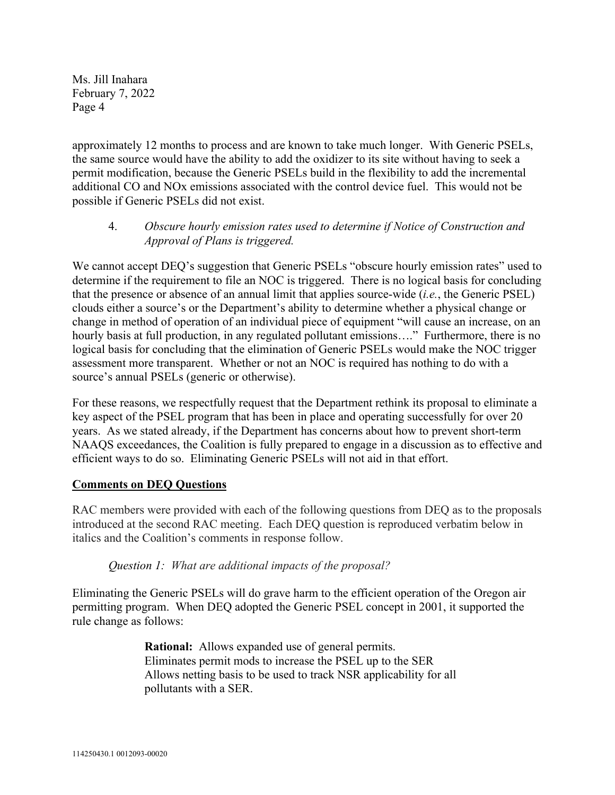approximately 12 months to process and are known to take much longer. With Generic PSELs, the same source would have the ability to add the oxidizer to its site without having to seek a permit modification, because the Generic PSELs build in the flexibility to add the incremental additional CO and NOx emissions associated with the control device fuel. This would not be possible if Generic PSELs did not exist.

### 4. *Obscure hourly emission rates used to determine if Notice of Construction and Approval of Plans is triggered.*

We cannot accept DEQ's suggestion that Generic PSELs "obscure hourly emission rates" used to determine if the requirement to file an NOC is triggered. There is no logical basis for concluding that the presence or absence of an annual limit that applies source-wide (*i.e.*, the Generic PSEL) clouds either a source's or the Department's ability to determine whether a physical change or change in method of operation of an individual piece of equipment "will cause an increase, on an hourly basis at full production, in any regulated pollutant emissions...." Furthermore, there is no logical basis for concluding that the elimination of Generic PSELs would make the NOC trigger assessment more transparent. Whether or not an NOC is required has nothing to do with a source's annual PSELs (generic or otherwise).

For these reasons, we respectfully request that the Department rethink its proposal to eliminate a key aspect of the PSEL program that has been in place and operating successfully for over 20 years. As we stated already, if the Department has concerns about how to prevent short-term NAAQS exceedances, the Coalition is fully prepared to engage in a discussion as to effective and efficient ways to do so. Eliminating Generic PSELs will not aid in that effort.

# **Comments on DEQ Questions**

RAC members were provided with each of the following questions from DEQ as to the proposals introduced at the second RAC meeting. Each DEQ question is reproduced verbatim below in italics and the Coalition's comments in response follow.

# *Question 1: What are additional impacts of the proposal?*

Eliminating the Generic PSELs will do grave harm to the efficient operation of the Oregon air permitting program. When DEQ adopted the Generic PSEL concept in 2001, it supported the rule change as follows:

> **Rational:** Allows expanded use of general permits. Eliminates permit mods to increase the PSEL up to the SER Allows netting basis to be used to track NSR applicability for all pollutants with a SER.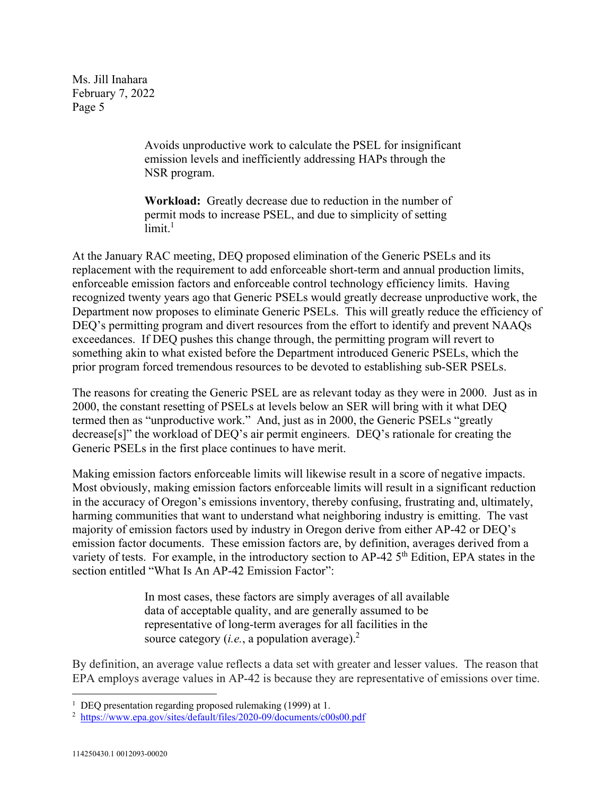> Avoids unproductive work to calculate the PSEL for insignificant emission levels and inefficiently addressing HAPs through the NSR program.

**Workload:** Greatly decrease due to reduction in the number of permit mods to increase PSEL, and due to simplicity of setting  $limit.<sup>1</sup>$ 

At the January RAC meeting, DEQ proposed elimination of the Generic PSELs and its replacement with the requirement to add enforceable short-term and annual production limits, enforceable emission factors and enforceable control technology efficiency limits. Having recognized twenty years ago that Generic PSELs would greatly decrease unproductive work, the Department now proposes to eliminate Generic PSELs. This will greatly reduce the efficiency of DEQ's permitting program and divert resources from the effort to identify and prevent NAAQs exceedances. If DEQ pushes this change through, the permitting program will revert to something akin to what existed before the Department introduced Generic PSELs, which the prior program forced tremendous resources to be devoted to establishing sub-SER PSELs.

The reasons for creating the Generic PSEL are as relevant today as they were in 2000. Just as in 2000, the constant resetting of PSELs at levels below an SER will bring with it what DEQ termed then as "unproductive work." And, just as in 2000, the Generic PSELs "greatly decrease[s]" the workload of DEQ's air permit engineers. DEQ's rationale for creating the Generic PSELs in the first place continues to have merit.

Making emission factors enforceable limits will likewise result in a score of negative impacts. Most obviously, making emission factors enforceable limits will result in a significant reduction in the accuracy of Oregon's emissions inventory, thereby confusing, frustrating and, ultimately, harming communities that want to understand what neighboring industry is emitting. The vast majority of emission factors used by industry in Oregon derive from either AP-42 or DEQ's emission factor documents. These emission factors are, by definition, averages derived from a variety of tests. For example, in the introductory section to AP-42 5<sup>th</sup> Edition, EPA states in the section entitled "What Is An AP-42 Emission Factor":

> In most cases, these factors are simply averages of all available data of acceptable quality, and are generally assumed to be representative of long-term averages for all facilities in the source category (*i.e.*, a population average).<sup>2</sup>

By definition, an average value reflects a data set with greater and lesser values. The reason that EPA employs average values in AP-42 is because they are representative of emissions over time.

<sup>&</sup>lt;sup>1</sup> DEQ presentation regarding proposed rulemaking (1999) at 1.

<sup>&</sup>lt;sup>2</sup> https://www.epa.gov/sites/default/files/2020-09/documents/c00s00.pdf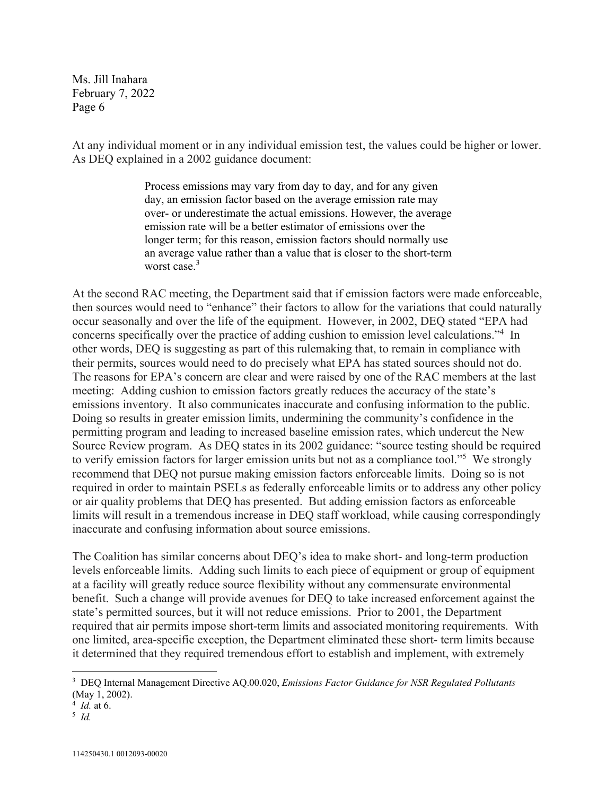At any individual moment or in any individual emission test, the values could be higher or lower. As DEQ explained in a 2002 guidance document:

> Process emissions may vary from day to day, and for any given day, an emission factor based on the average emission rate may over- or underestimate the actual emissions. However, the average emission rate will be a better estimator of emissions over the longer term; for this reason, emission factors should normally use an average value rather than a value that is closer to the short-term worst case.<sup>3</sup>

At the second RAC meeting, the Department said that if emission factors were made enforceable, then sources would need to "enhance" their factors to allow for the variations that could naturally occur seasonally and over the life of the equipment. However, in 2002, DEQ stated "EPA had concerns specifically over the practice of adding cushion to emission level calculations."4 In other words, DEQ is suggesting as part of this rulemaking that, to remain in compliance with their permits, sources would need to do precisely what EPA has stated sources should not do. The reasons for EPA's concern are clear and were raised by one of the RAC members at the last meeting: Adding cushion to emission factors greatly reduces the accuracy of the state's emissions inventory. It also communicates inaccurate and confusing information to the public. Doing so results in greater emission limits, undermining the community's confidence in the permitting program and leading to increased baseline emission rates, which undercut the New Source Review program. As DEQ states in its 2002 guidance: "source testing should be required to verify emission factors for larger emission units but not as a compliance tool."<sup>5</sup> We strongly recommend that DEQ not pursue making emission factors enforceable limits. Doing so is not required in order to maintain PSELs as federally enforceable limits or to address any other policy or air quality problems that DEQ has presented. But adding emission factors as enforceable limits will result in a tremendous increase in DEQ staff workload, while causing correspondingly inaccurate and confusing information about source emissions.

The Coalition has similar concerns about DEQ's idea to make short- and long-term production levels enforceable limits. Adding such limits to each piece of equipment or group of equipment at a facility will greatly reduce source flexibility without any commensurate environmental benefit. Such a change will provide avenues for DEQ to take increased enforcement against the state's permitted sources, but it will not reduce emissions. Prior to 2001, the Department required that air permits impose short-term limits and associated monitoring requirements. With one limited, area-specific exception, the Department eliminated these short- term limits because it determined that they required tremendous effort to establish and implement, with extremely

<sup>3</sup> DEQ Internal Management Directive AQ.00.020, *Emissions Factor Guidance for NSR Regulated Pollutants* (May 1, 2002).

 $\frac{4}{5}$  *Id.* at 6.

 $\frac{5}{1}$  *Id.*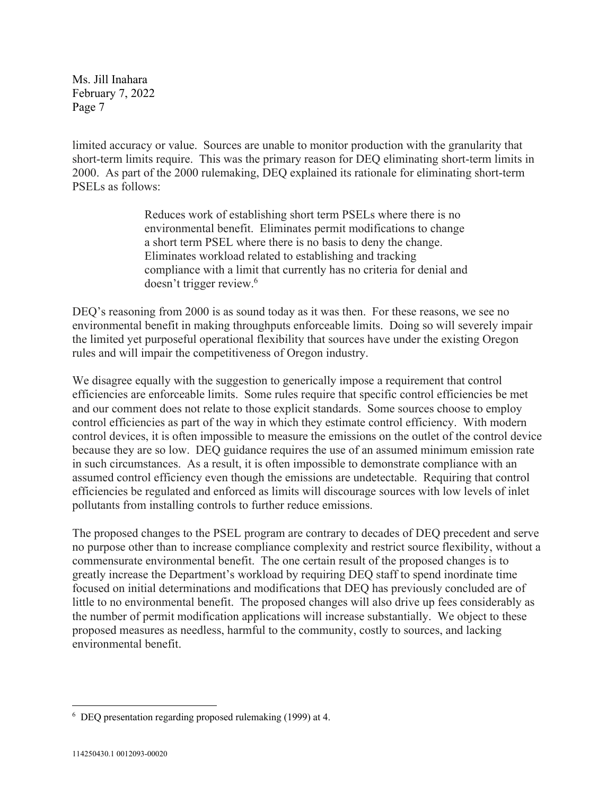limited accuracy or value. Sources are unable to monitor production with the granularity that short-term limits require. This was the primary reason for DEQ eliminating short-term limits in 2000. As part of the 2000 rulemaking, DEQ explained its rationale for eliminating short-term PSELs as follows:

> Reduces work of establishing short term PSELs where there is no environmental benefit. Eliminates permit modifications to change a short term PSEL where there is no basis to deny the change. Eliminates workload related to establishing and tracking compliance with a limit that currently has no criteria for denial and doesn't trigger review.<sup>6</sup>

DEQ's reasoning from 2000 is as sound today as it was then. For these reasons, we see no environmental benefit in making throughputs enforceable limits. Doing so will severely impair the limited yet purposeful operational flexibility that sources have under the existing Oregon rules and will impair the competitiveness of Oregon industry.

We disagree equally with the suggestion to generically impose a requirement that control efficiencies are enforceable limits. Some rules require that specific control efficiencies be met and our comment does not relate to those explicit standards. Some sources choose to employ control efficiencies as part of the way in which they estimate control efficiency. With modern control devices, it is often impossible to measure the emissions on the outlet of the control device because they are so low. DEQ guidance requires the use of an assumed minimum emission rate in such circumstances. As a result, it is often impossible to demonstrate compliance with an assumed control efficiency even though the emissions are undetectable. Requiring that control efficiencies be regulated and enforced as limits will discourage sources with low levels of inlet pollutants from installing controls to further reduce emissions.

The proposed changes to the PSEL program are contrary to decades of DEQ precedent and serve no purpose other than to increase compliance complexity and restrict source flexibility, without a commensurate environmental benefit. The one certain result of the proposed changes is to greatly increase the Department's workload by requiring DEQ staff to spend inordinate time focused on initial determinations and modifications that DEQ has previously concluded are of little to no environmental benefit. The proposed changes will also drive up fees considerably as the number of permit modification applications will increase substantially. We object to these proposed measures as needless, harmful to the community, costly to sources, and lacking environmental benefit.

<sup>6</sup> DEQ presentation regarding proposed rulemaking (1999) at 4.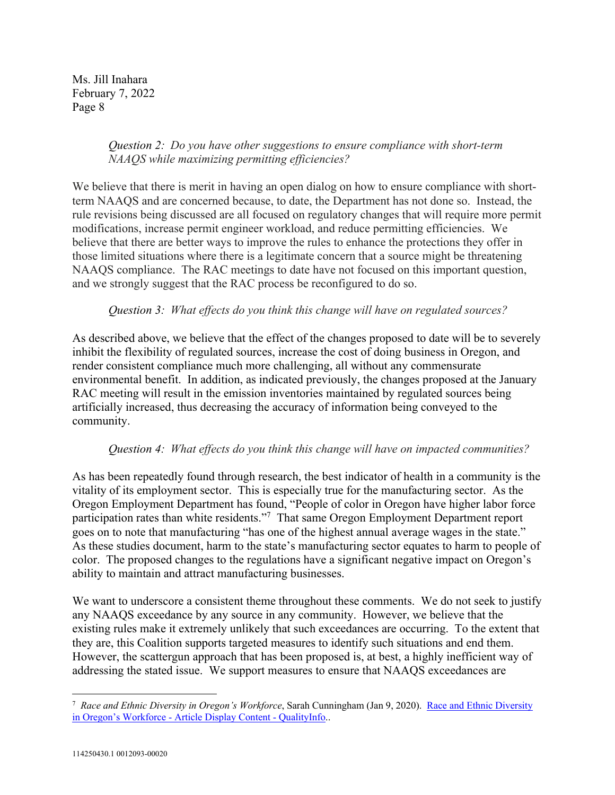### *Question 2: Do you have other suggestions to ensure compliance with short-term NAAQS while maximizing permitting efficiencies?*

We believe that there is merit in having an open dialog on how to ensure compliance with shortterm NAAQS and are concerned because, to date, the Department has not done so. Instead, the rule revisions being discussed are all focused on regulatory changes that will require more permit modifications, increase permit engineer workload, and reduce permitting efficiencies. We believe that there are better ways to improve the rules to enhance the protections they offer in those limited situations where there is a legitimate concern that a source might be threatening NAAQS compliance. The RAC meetings to date have not focused on this important question, and we strongly suggest that the RAC process be reconfigured to do so.

### *Question 3: What effects do you think this change will have on regulated sources?*

As described above, we believe that the effect of the changes proposed to date will be to severely inhibit the flexibility of regulated sources, increase the cost of doing business in Oregon, and render consistent compliance much more challenging, all without any commensurate environmental benefit. In addition, as indicated previously, the changes proposed at the January RAC meeting will result in the emission inventories maintained by regulated sources being artificially increased, thus decreasing the accuracy of information being conveyed to the community.

#### *Question 4: What effects do you think this change will have on impacted communities?*

As has been repeatedly found through research, the best indicator of health in a community is the vitality of its employment sector. This is especially true for the manufacturing sector. As the Oregon Employment Department has found, "People of color in Oregon have higher labor force participation rates than white residents."<sup>7</sup> That same Oregon Employment Department report goes on to note that manufacturing "has one of the highest annual average wages in the state." As these studies document, harm to the state's manufacturing sector equates to harm to people of color. The proposed changes to the regulations have a significant negative impact on Oregon's ability to maintain and attract manufacturing businesses.

We want to underscore a consistent theme throughout these comments. We do not seek to justify any NAAQS exceedance by any source in any community. However, we believe that the existing rules make it extremely unlikely that such exceedances are occurring. To the extent that they are, this Coalition supports targeted measures to identify such situations and end them. However, the scattergun approach that has been proposed is, at best, a highly inefficient way of addressing the stated issue. We support measures to ensure that NAAQS exceedances are

<sup>&</sup>lt;sup>7</sup> Race and Ethnic Diversity in Oregon's Workforce, Sarah Cunningham (Jan 9, 2020). Race and Ethnic Diversity in Oregon's Workforce - Article Display Content - QualityInfo..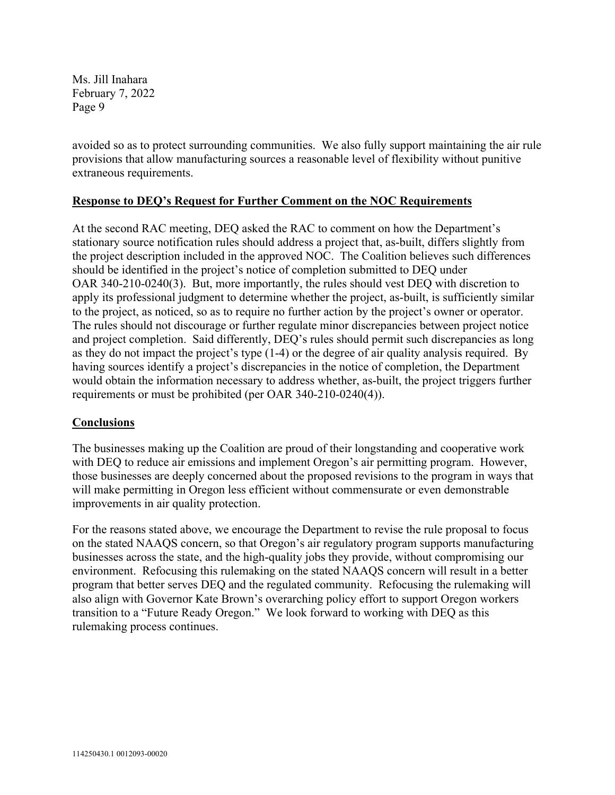avoided so as to protect surrounding communities. We also fully support maintaining the air rule provisions that allow manufacturing sources a reasonable level of flexibility without punitive extraneous requirements.

### **Response to DEQ's Request for Further Comment on the NOC Requirements**

At the second RAC meeting, DEQ asked the RAC to comment on how the Department's stationary source notification rules should address a project that, as-built, differs slightly from the project description included in the approved NOC. The Coalition believes such differences should be identified in the project's notice of completion submitted to DEQ under OAR 340-210-0240(3). But, more importantly, the rules should vest DEQ with discretion to apply its professional judgment to determine whether the project, as-built, is sufficiently similar to the project, as noticed, so as to require no further action by the project's owner or operator. The rules should not discourage or further regulate minor discrepancies between project notice and project completion. Said differently, DEQ's rules should permit such discrepancies as long as they do not impact the project's type (1-4) or the degree of air quality analysis required. By having sources identify a project's discrepancies in the notice of completion, the Department would obtain the information necessary to address whether, as-built, the project triggers further requirements or must be prohibited (per OAR 340-210-0240(4)).

#### **Conclusions**

The businesses making up the Coalition are proud of their longstanding and cooperative work with DEQ to reduce air emissions and implement Oregon's air permitting program. However, those businesses are deeply concerned about the proposed revisions to the program in ways that will make permitting in Oregon less efficient without commensurate or even demonstrable improvements in air quality protection.

For the reasons stated above, we encourage the Department to revise the rule proposal to focus on the stated NAAQS concern, so that Oregon's air regulatory program supports manufacturing businesses across the state, and the high-quality jobs they provide, without compromising our environment. Refocusing this rulemaking on the stated NAAQS concern will result in a better program that better serves DEQ and the regulated community. Refocusing the rulemaking will also align with Governor Kate Brown's overarching policy effort to support Oregon workers transition to a "Future Ready Oregon." We look forward to working with DEQ as this rulemaking process continues.